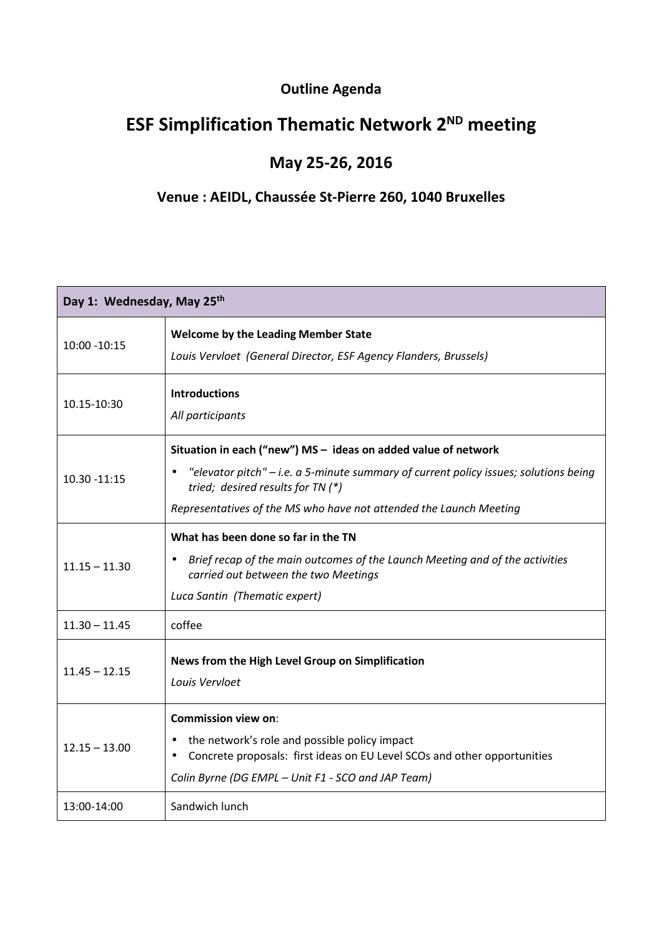## **Outline Agenda**

## **ESF Simplification Thematic Network 2ND meeting**

## **May 25-26, 2016**

## **Venue : AEIDL, Chaussée St-Pierre 260, 1040 Bruxelles**

| Day 1: Wednesday, May 25th |                                                                                                                                                                                                                                                                     |  |
|----------------------------|---------------------------------------------------------------------------------------------------------------------------------------------------------------------------------------------------------------------------------------------------------------------|--|
| 10:00 - 10:15              | <b>Welcome by the Leading Member State</b><br>Louis Vervloet (General Director, ESF Agency Flanders, Brussels)                                                                                                                                                      |  |
| 10.15-10:30                | <b>Introductions</b><br>All participants                                                                                                                                                                                                                            |  |
| 10.30 -11:15               | Situation in each ("new") MS - ideas on added value of network<br>"elevator pitch" $-$ i.e. a 5-minute summary of current policy issues; solutions being<br>tried; desired results for TN (*)<br>Representatives of the MS who have not attended the Launch Meeting |  |
| $11.15 - 11.30$            | What has been done so far in the TN<br>Brief recap of the main outcomes of the Launch Meeting and of the activities<br>$\bullet$<br>carried out between the two Meetings<br>Luca Santin (Thematic expert)                                                           |  |
| $11.30 - 11.45$            | coffee                                                                                                                                                                                                                                                              |  |
| $11.45 - 12.15$            | News from the High Level Group on Simplification<br>Louis Vervloet                                                                                                                                                                                                  |  |
| $12.15 - 13.00$            | <b>Commission view on:</b><br>the network's role and possible policy impact<br>Concrete proposals: first ideas on EU Level SCOs and other opportunities<br>$\bullet$<br>Colin Byrne (DG EMPL - Unit F1 - SCO and JAP Team)                                          |  |
| 13:00-14:00                | Sandwich lunch                                                                                                                                                                                                                                                      |  |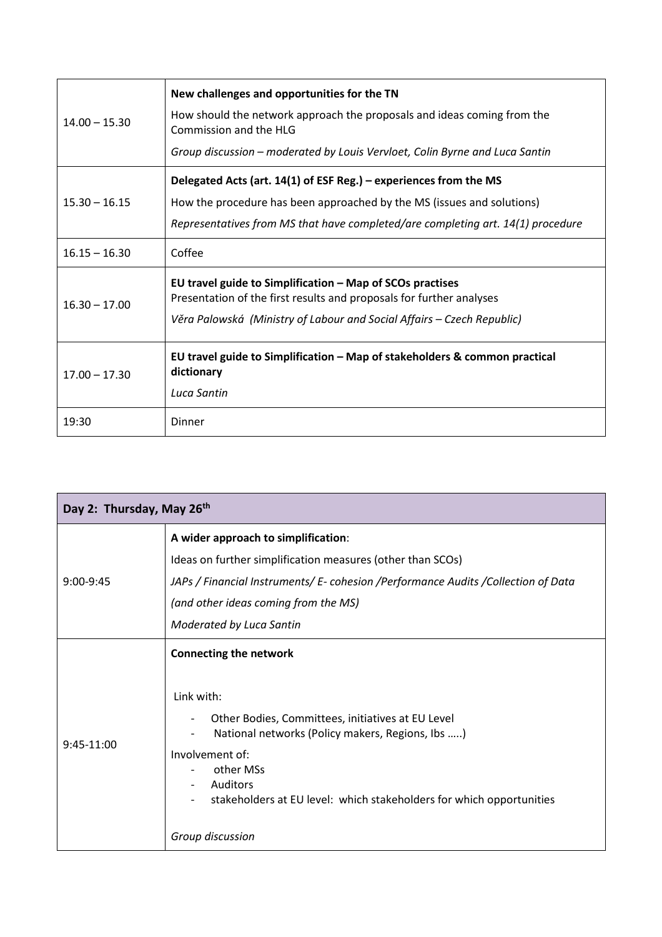| $14.00 - 15.30$ | New challenges and opportunities for the TN<br>How should the network approach the proposals and ideas coming from the<br>Commission and the HLG<br>Group discussion – moderated by Louis Vervloet, Colin Byrne and Luca Santin |
|-----------------|---------------------------------------------------------------------------------------------------------------------------------------------------------------------------------------------------------------------------------|
| $15.30 - 16.15$ | Delegated Acts (art. 14(1) of ESF Reg.) – experiences from the MS<br>How the procedure has been approached by the MS (issues and solutions)<br>Representatives from MS that have completed/are completing art. 14(1) procedure  |
| $16.15 - 16.30$ | Coffee                                                                                                                                                                                                                          |
| $16.30 - 17.00$ | EU travel guide to Simplification - Map of SCOs practises<br>Presentation of the first results and proposals for further analyses<br>Věra Palowská (Ministry of Labour and Social Affairs – Czech Republic)                     |
| $17.00 - 17.30$ | EU travel guide to Simplification - Map of stakeholders & common practical<br>dictionary<br>Luca Santin                                                                                                                         |
| 19:30           | Dinner                                                                                                                                                                                                                          |

| Day 2: Thursday, May 26th |                                                                                                                                                                                                                                                                                              |  |
|---------------------------|----------------------------------------------------------------------------------------------------------------------------------------------------------------------------------------------------------------------------------------------------------------------------------------------|--|
| $9:00-9:45$               | A wider approach to simplification:                                                                                                                                                                                                                                                          |  |
|                           | Ideas on further simplification measures (other than SCOs)                                                                                                                                                                                                                                   |  |
|                           | JAPs / Financial Instruments/ E- cohesion /Performance Audits /Collection of Data                                                                                                                                                                                                            |  |
|                           | (and other ideas coming from the MS)                                                                                                                                                                                                                                                         |  |
|                           | Moderated by Luca Santin                                                                                                                                                                                                                                                                     |  |
| $9:45-11:00$              | <b>Connecting the network</b><br>Link with:<br>Other Bodies, Committees, initiatives at EU Level<br>National networks (Policy makers, Regions, Ibs )<br>Involvement of:<br>other MSs<br>Auditors<br>stakeholders at EU level: which stakeholders for which opportunities<br>Group discussion |  |